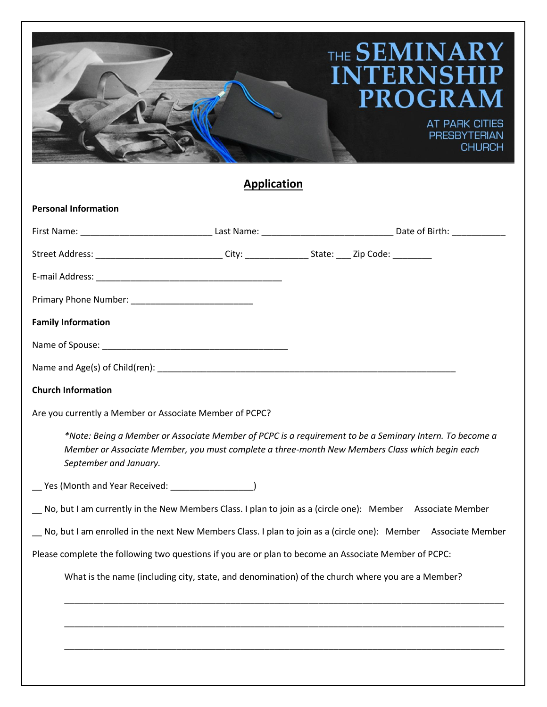## THE SEMINARY **INTERNSH**  $\overline{\mathbf{P}}$ I **PROGRA** M **AT PARK CITIES PRESBYTERIAN CHURCH Application Personal Information**

|                                                         | Street Address: ______________________________City: __________________State: _____ Zip Code: ____________                                                                                                 |  |  |
|---------------------------------------------------------|-----------------------------------------------------------------------------------------------------------------------------------------------------------------------------------------------------------|--|--|
|                                                         |                                                                                                                                                                                                           |  |  |
|                                                         |                                                                                                                                                                                                           |  |  |
| <b>Family Information</b>                               |                                                                                                                                                                                                           |  |  |
|                                                         |                                                                                                                                                                                                           |  |  |
|                                                         |                                                                                                                                                                                                           |  |  |
| <b>Church Information</b>                               |                                                                                                                                                                                                           |  |  |
| Are you currently a Member or Associate Member of PCPC? |                                                                                                                                                                                                           |  |  |
| September and January.                                  | *Note: Being a Member or Associate Member of PCPC is a requirement to be a Seminary Intern. To become a<br>Member or Associate Member, you must complete a three-month New Members Class which begin each |  |  |
| __ Yes (Month and Year Received: __________________)    |                                                                                                                                                                                                           |  |  |
|                                                         | No, but I am currently in the New Members Class. I plan to join as a (circle one): Member Associate Member                                                                                                |  |  |
|                                                         | No, but I am enrolled in the next New Members Class. I plan to join as a (circle one): Member Associate Member                                                                                            |  |  |
|                                                         | Please complete the following two questions if you are or plan to become an Associate Member of PCPC:                                                                                                     |  |  |
|                                                         | What is the name (including city, state, and denomination) of the church where you are a Member?                                                                                                          |  |  |
|                                                         |                                                                                                                                                                                                           |  |  |
|                                                         |                                                                                                                                                                                                           |  |  |
|                                                         |                                                                                                                                                                                                           |  |  |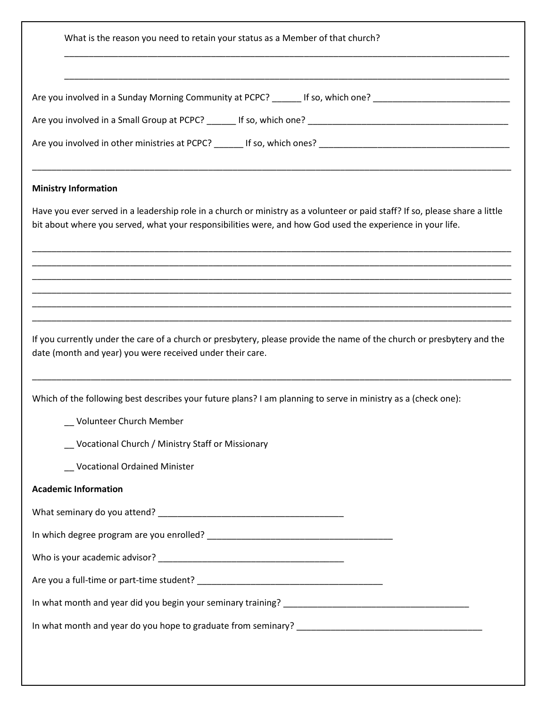| Are you involved in a Sunday Morning Community at PCPC? If so, which one? |  |
|---------------------------------------------------------------------------|--|
|                                                                           |  |
|                                                                           |  |
|                                                                           |  |
| <b>Ministry Information</b>                                               |  |

\_\_\_\_\_\_\_\_\_\_\_\_\_\_\_\_\_\_\_\_\_\_\_\_\_\_\_\_\_\_\_\_\_\_\_\_\_\_\_\_\_\_\_\_\_\_\_\_\_\_\_\_\_\_\_\_\_\_\_\_\_\_\_\_\_\_\_\_\_\_\_\_\_\_\_\_\_\_\_\_\_\_\_\_\_\_\_\_\_\_\_

Have you ever served in a leadership role in a church or ministry as a volunteer or paid staff? If so, please share a little bit about where you served, what your responsibilities were, and how God used the experience in your life.

\_\_\_\_\_\_\_\_\_\_\_\_\_\_\_\_\_\_\_\_\_\_\_\_\_\_\_\_\_\_\_\_\_\_\_\_\_\_\_\_\_\_\_\_\_\_\_\_\_\_\_\_\_\_\_\_\_\_\_\_\_\_\_\_\_\_\_\_\_\_\_\_\_\_\_\_\_\_\_\_\_\_\_\_\_\_\_\_\_\_\_\_\_\_\_\_\_\_ \_\_\_\_\_\_\_\_\_\_\_\_\_\_\_\_\_\_\_\_\_\_\_\_\_\_\_\_\_\_\_\_\_\_\_\_\_\_\_\_\_\_\_\_\_\_\_\_\_\_\_\_\_\_\_\_\_\_\_\_\_\_\_\_\_\_\_\_\_\_\_\_\_\_\_\_\_\_\_\_\_\_\_\_\_\_\_\_\_\_\_\_\_\_\_\_\_\_ \_\_\_\_\_\_\_\_\_\_\_\_\_\_\_\_\_\_\_\_\_\_\_\_\_\_\_\_\_\_\_\_\_\_\_\_\_\_\_\_\_\_\_\_\_\_\_\_\_\_\_\_\_\_\_\_\_\_\_\_\_\_\_\_\_\_\_\_\_\_\_\_\_\_\_\_\_\_\_\_\_\_\_\_\_\_\_\_\_\_\_\_\_\_\_\_\_\_ \_\_\_\_\_\_\_\_\_\_\_\_\_\_\_\_\_\_\_\_\_\_\_\_\_\_\_\_\_\_\_\_\_\_\_\_\_\_\_\_\_\_\_\_\_\_\_\_\_\_\_\_\_\_\_\_\_\_\_\_\_\_\_\_\_\_\_\_\_\_\_\_\_\_\_\_\_\_\_\_\_\_\_\_\_\_\_\_\_\_\_\_\_\_\_\_\_\_ \_\_\_\_\_\_\_\_\_\_\_\_\_\_\_\_\_\_\_\_\_\_\_\_\_\_\_\_\_\_\_\_\_\_\_\_\_\_\_\_\_\_\_\_\_\_\_\_\_\_\_\_\_\_\_\_\_\_\_\_\_\_\_\_\_\_\_\_\_\_\_\_\_\_\_\_\_\_\_\_\_\_\_\_\_\_\_\_\_\_\_\_\_\_\_\_\_\_ \_\_\_\_\_\_\_\_\_\_\_\_\_\_\_\_\_\_\_\_\_\_\_\_\_\_\_\_\_\_\_\_\_\_\_\_\_\_\_\_\_\_\_\_\_\_\_\_\_\_\_\_\_\_\_\_\_\_\_\_\_\_\_\_\_\_\_\_\_\_\_\_\_\_\_\_\_\_\_\_\_\_\_\_\_\_\_\_\_\_\_\_\_\_\_\_\_\_

If you currently under the care of a church or presbytery, please provide the name of the church or presbytery and the date (month and year) you were received under their care.

\_\_\_\_\_\_\_\_\_\_\_\_\_\_\_\_\_\_\_\_\_\_\_\_\_\_\_\_\_\_\_\_\_\_\_\_\_\_\_\_\_\_\_\_\_\_\_\_\_\_\_\_\_\_\_\_\_\_\_\_\_\_\_\_\_\_\_\_\_\_\_\_\_\_\_\_\_\_\_\_\_\_\_\_\_\_\_\_\_\_\_\_\_\_\_\_\_\_

Which of the following best describes your future plans? I am planning to serve in ministry as a (check one):

\_\_ Volunteer Church Member

\_\_ Vocational Church / Ministry Staff or Missionary

\_\_ Vocational Ordained Minister

## **Academic Information**

What seminary do you attend? \_\_\_\_\_\_\_\_\_\_\_\_\_\_\_\_\_\_\_\_\_\_\_\_\_\_\_\_\_\_\_\_\_\_\_\_\_\_

In which degree program are you enrolled?  $\blacksquare$ 

Who is your academic advisor? **Example 20** 

| Are you a full-time or part-time student? |  |
|-------------------------------------------|--|
|                                           |  |

In what month and year did you begin your seminary training? \_\_\_\_\_\_\_\_\_\_\_\_\_\_\_\_\_\_\_\_\_\_\_\_\_\_\_\_\_\_\_\_\_\_\_\_\_\_

In what month and year do you hope to graduate from seminary? \_\_\_\_\_\_\_\_\_\_\_\_\_\_\_\_\_\_\_\_\_\_\_\_\_\_\_\_\_\_\_\_\_\_\_\_\_\_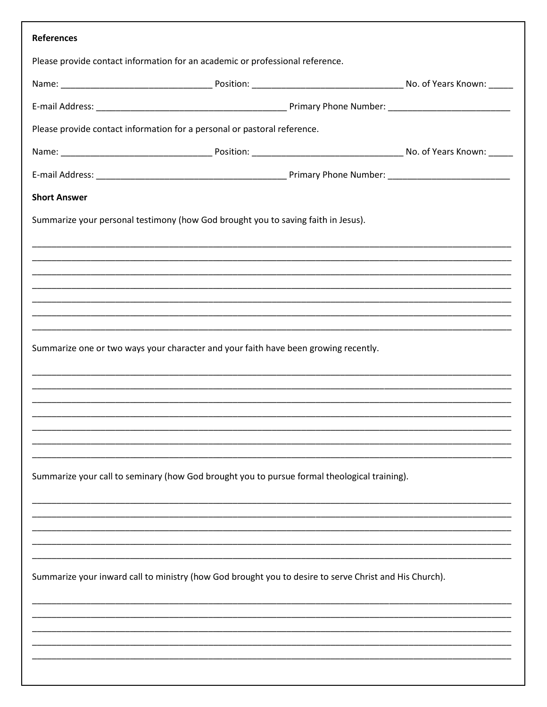| <b>References</b>                                                                                      |  |                                                                                                                       |  |  |  |  |  |  |  |
|--------------------------------------------------------------------------------------------------------|--|-----------------------------------------------------------------------------------------------------------------------|--|--|--|--|--|--|--|
| Please provide contact information for an academic or professional reference.                          |  |                                                                                                                       |  |  |  |  |  |  |  |
|                                                                                                        |  |                                                                                                                       |  |  |  |  |  |  |  |
|                                                                                                        |  |                                                                                                                       |  |  |  |  |  |  |  |
| Please provide contact information for a personal or pastoral reference.                               |  |                                                                                                                       |  |  |  |  |  |  |  |
|                                                                                                        |  |                                                                                                                       |  |  |  |  |  |  |  |
|                                                                                                        |  |                                                                                                                       |  |  |  |  |  |  |  |
| <b>Short Answer</b>                                                                                    |  |                                                                                                                       |  |  |  |  |  |  |  |
| Summarize your personal testimony (how God brought you to saving faith in Jesus).                      |  |                                                                                                                       |  |  |  |  |  |  |  |
|                                                                                                        |  |                                                                                                                       |  |  |  |  |  |  |  |
|                                                                                                        |  | <u> 1989 - John Harry Harry Harry Harry Harry Harry Harry Harry Harry Harry Harry Harry Harry Harry Harry Harry H</u> |  |  |  |  |  |  |  |
|                                                                                                        |  |                                                                                                                       |  |  |  |  |  |  |  |
|                                                                                                        |  | ,我们也不能会有什么。""我们的人,我们也不能会有什么?""我们的人,我们也不能会有什么?""我们的人,我们也不能会有什么?""我们的人,我们也不能会有什么?""                                     |  |  |  |  |  |  |  |
|                                                                                                        |  |                                                                                                                       |  |  |  |  |  |  |  |
| Summarize one or two ways your character and your faith have been growing recently.                    |  |                                                                                                                       |  |  |  |  |  |  |  |
|                                                                                                        |  |                                                                                                                       |  |  |  |  |  |  |  |
|                                                                                                        |  |                                                                                                                       |  |  |  |  |  |  |  |
|                                                                                                        |  |                                                                                                                       |  |  |  |  |  |  |  |
|                                                                                                        |  |                                                                                                                       |  |  |  |  |  |  |  |
|                                                                                                        |  |                                                                                                                       |  |  |  |  |  |  |  |
| Summarize your call to seminary (how God brought you to pursue formal theological training).           |  |                                                                                                                       |  |  |  |  |  |  |  |
|                                                                                                        |  |                                                                                                                       |  |  |  |  |  |  |  |
|                                                                                                        |  |                                                                                                                       |  |  |  |  |  |  |  |
|                                                                                                        |  |                                                                                                                       |  |  |  |  |  |  |  |
| Summarize your inward call to ministry (how God brought you to desire to serve Christ and His Church). |  |                                                                                                                       |  |  |  |  |  |  |  |
|                                                                                                        |  |                                                                                                                       |  |  |  |  |  |  |  |
|                                                                                                        |  |                                                                                                                       |  |  |  |  |  |  |  |
|                                                                                                        |  |                                                                                                                       |  |  |  |  |  |  |  |
|                                                                                                        |  |                                                                                                                       |  |  |  |  |  |  |  |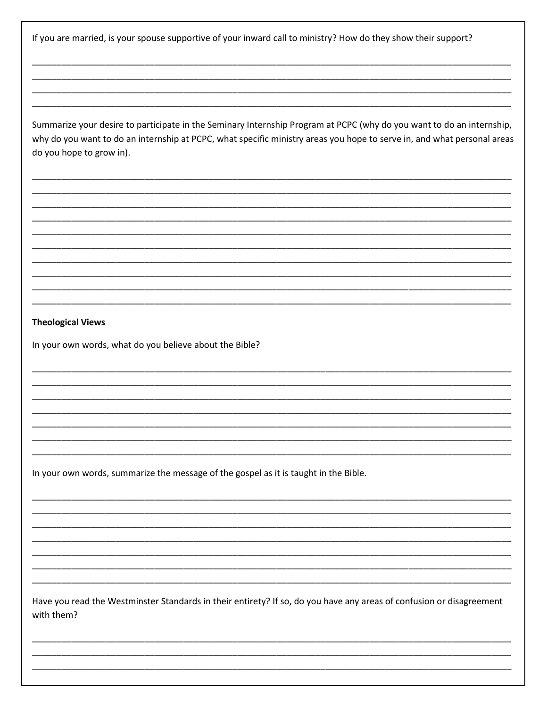If you are married, is your spouse supportive of your inward call to ministry? How do they show their support?

Summarize your desire to participate in the Seminary Internship Program at PCPC (why do you want to do an internship, why do you want to do an internship at PCPC, what specific ministry areas you hope to serve in, and what personal areas do you hope to grow in).

## **Theological Views**

In your own words, what do you believe about the Bible?

In your own words, summarize the message of the gospel as it is taught in the Bible.

Have you read the Westminster Standards in their entirety? If so, do you have any areas of confusion or disagreement with them?